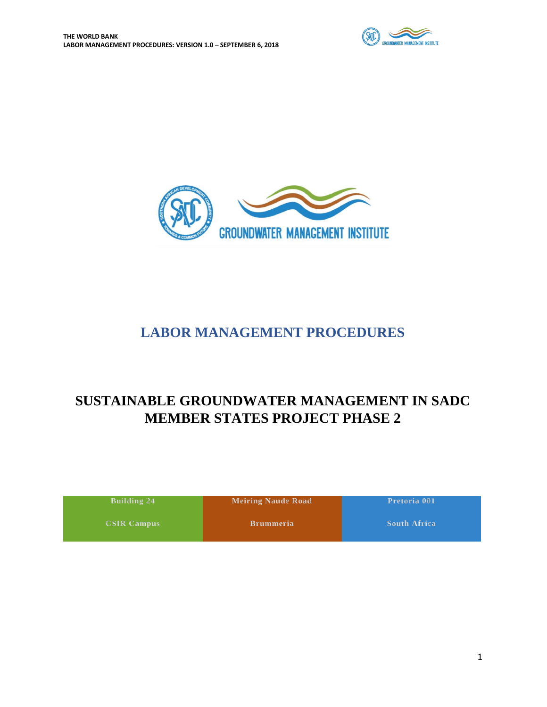



# **LABOR MANAGEMENT PROCEDURES**

# <span id="page-0-1"></span><span id="page-0-0"></span>**SUSTAINABLE GROUNDWATER MANAGEMENT IN SADC MEMBER STATES PROJECT PHASE 2**

| Building 24        | <b>Meiring Naude Road</b> | Pretoria 001        |
|--------------------|---------------------------|---------------------|
| <b>CSIR Campus</b> | <b>Brummeria</b>          | <b>South Africa</b> |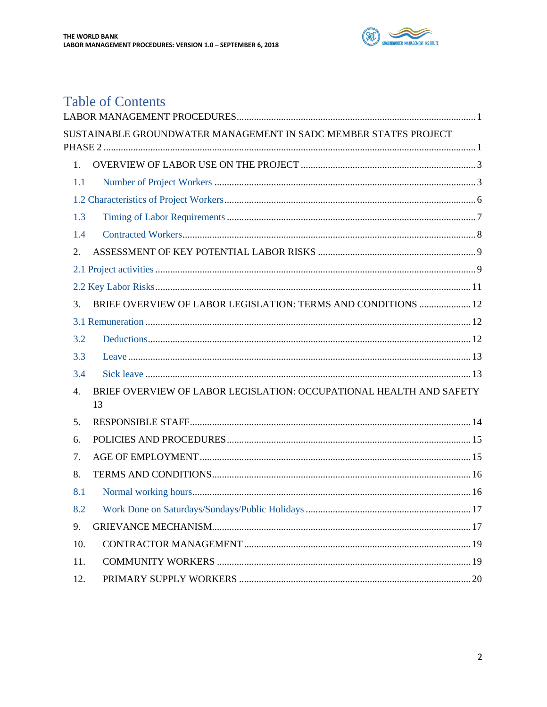

# **Table of Contents**

|             | SUSTAINABLE GROUNDWATER MANAGEMENT IN SADC MEMBER STATES PROJECT          |
|-------------|---------------------------------------------------------------------------|
| $1_{\cdot}$ |                                                                           |
| 1.1         |                                                                           |
|             |                                                                           |
| 1.3         |                                                                           |
| 1.4         |                                                                           |
| 2.          |                                                                           |
|             |                                                                           |
|             |                                                                           |
| 3.          | BRIEF OVERVIEW OF LABOR LEGISLATION: TERMS AND CONDITIONS  12             |
|             |                                                                           |
| 3.2         |                                                                           |
| 3.3         |                                                                           |
| 3.4         |                                                                           |
| 4.          | BRIEF OVERVIEW OF LABOR LEGISLATION: OCCUPATIONAL HEALTH AND SAFETY<br>13 |
| 5.          |                                                                           |
| 6.          |                                                                           |
| 7.          |                                                                           |
| 8.          |                                                                           |
| 8.1         |                                                                           |
| 8.2         | Work Done on Saturdays/Sundays/Public Holidays<br>17                      |
| 9.          |                                                                           |
| 10.         |                                                                           |
| 11.         |                                                                           |
| 12.         |                                                                           |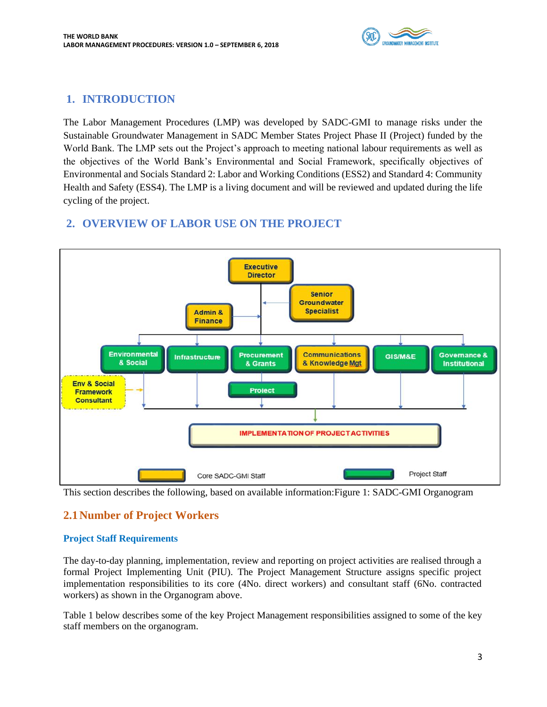

## <span id="page-2-0"></span>**1. INTRODUCTION**

The Labor Management Procedures (LMP) was developed by SADC-GMI to manage risks under the Sustainable Groundwater Management in SADC Member States Project Phase II (Project) funded by the World Bank. The LMP sets out the Project's approach to meeting national labour requirements as well as the objectives of the World Bank's Environmental and Social Framework, specifically objectives of Environmental and Socials Standard 2: Labor and Working Conditions (ESS2) and Standard 4: Community Health and Safety (ESS4). The LMP is a living document and will be reviewed and updated during the life cycling of the project.

# **2. OVERVIEW OF LABOR USE ON THE PROJECT**



This section describes the following, based on available information:Figure 1: SADC-GMI Organogram

# <span id="page-2-1"></span>**2.1Number of Project Workers**

### **Project Staff Requirements**

The day-to-day planning, implementation, review and reporting on project activities are realised through a formal Project Implementing Unit (PIU). The Project Management Structure assigns specific project implementation responsibilities to its core (4No. direct workers) and consultant staff (6No. contracted workers) as shown in the Organogram above.

Table 1 below describes some of the key Project Management responsibilities assigned to some of the key staff members on the organogram.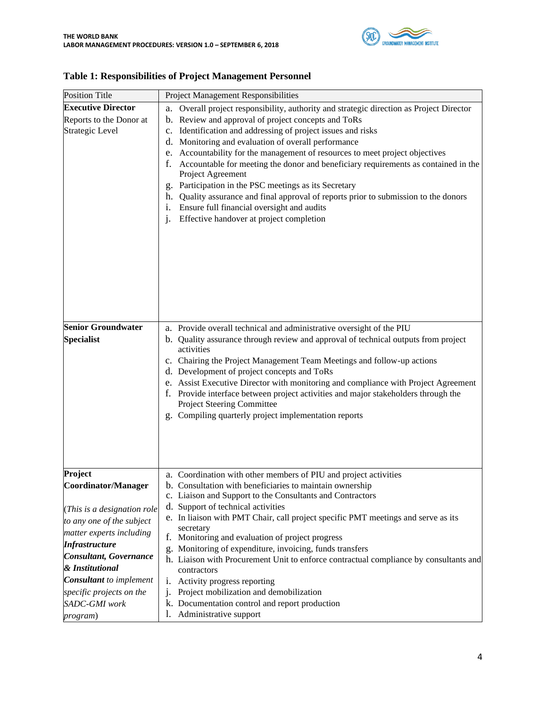

| <b>Position Title</b>                                                                                                                                                                                                                                                       | Project Management Responsibilities                                                                                                                                                                                                                                                                                                                                                                                                                                                                                                                                                                                                                                                                                                   |
|-----------------------------------------------------------------------------------------------------------------------------------------------------------------------------------------------------------------------------------------------------------------------------|---------------------------------------------------------------------------------------------------------------------------------------------------------------------------------------------------------------------------------------------------------------------------------------------------------------------------------------------------------------------------------------------------------------------------------------------------------------------------------------------------------------------------------------------------------------------------------------------------------------------------------------------------------------------------------------------------------------------------------------|
| <b>Executive Director</b><br>Reports to the Donor at<br>Strategic Level                                                                                                                                                                                                     | a. Overall project responsibility, authority and strategic direction as Project Director<br>b. Review and approval of project concepts and ToRs<br>c. Identification and addressing of project issues and risks<br>d. Monitoring and evaluation of overall performance<br>e. Accountability for the management of resources to meet project objectives<br>Accountable for meeting the donor and beneficiary requirements as contained in the<br>f.<br>Project Agreement<br>g. Participation in the PSC meetings as its Secretary<br>h. Quality assurance and final approval of reports prior to submission to the donors<br>Ensure full financial oversight and audits<br>Effective handover at project completion<br>$\mathbf{1}$ .  |
| <b>Senior Groundwater</b><br><b>Specialist</b>                                                                                                                                                                                                                              | a. Provide overall technical and administrative oversight of the PIU<br>b. Quality assurance through review and approval of technical outputs from project<br>activities<br>c. Chairing the Project Management Team Meetings and follow-up actions<br>d. Development of project concepts and ToRs<br>e. Assist Executive Director with monitoring and compliance with Project Agreement<br>Provide interface between project activities and major stakeholders through the<br>t.<br>Project Steering Committee<br>g. Compiling quarterly project implementation reports                                                                                                                                                               |
| Project<br>Coordinator/Manager<br>(This is a designation role<br>to any one of the subject<br>matter experts including<br><b>Infrastructure</b><br>Consultant, Governance<br>& Institutional<br><b>Consultant</b> to implement<br>specific projects on the<br>SADC-GMI work | a. Coordination with other members of PIU and project activities<br>b. Consultation with beneficiaries to maintain ownership<br>c. Liaison and Support to the Consultants and Contractors<br>d. Support of technical activities<br>e. In liaison with PMT Chair, call project specific PMT meetings and serve as its<br>secretary<br>f. Monitoring and evaluation of project progress<br>g. Monitoring of expenditure, invoicing, funds transfers<br>h. Liaison with Procurement Unit to enforce contractual compliance by consultants and<br>contractors<br>Activity progress reporting<br>1.<br>Project mobilization and demobilization<br>$\mathbf{1}$<br>k. Documentation control and report production<br>Administrative support |

### **Table 1: Responsibilities of Project Management Personnel**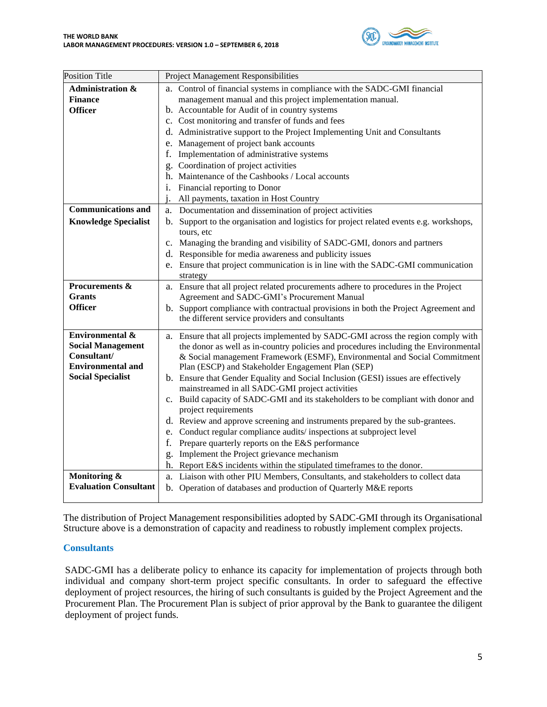

| <b>Position Title</b>        | <b>Project Management Responsibilities</b>                                              |
|------------------------------|-----------------------------------------------------------------------------------------|
| <b>Administration &amp;</b>  | a. Control of financial systems in compliance with the SADC-GMI financial               |
| <b>Finance</b>               | management manual and this project implementation manual.                               |
| <b>Officer</b>               | b. Accountable for Audit of in country systems                                          |
|                              | c. Cost monitoring and transfer of funds and fees                                       |
|                              | d. Administrative support to the Project Implementing Unit and Consultants              |
|                              | e. Management of project bank accounts                                                  |
|                              | Implementation of administrative systems<br>f.                                          |
|                              | g. Coordination of project activities                                                   |
|                              | h. Maintenance of the Cashbooks / Local accounts                                        |
|                              | i. Financial reporting to Donor                                                         |
|                              | All payments, taxation in Host Country<br>i.                                            |
| <b>Communications and</b>    | a. Documentation and dissemination of project activities                                |
| <b>Knowledge Specialist</b>  | b. Support to the organisation and logistics for project related events e.g. workshops, |
|                              | tours, etc                                                                              |
|                              | c. Managing the branding and visibility of SADC-GMI, donors and partners                |
|                              | d. Responsible for media awareness and publicity issues                                 |
|                              | e. Ensure that project communication is in line with the SADC-GMI communication         |
|                              | strategy                                                                                |
| Procurements &               | a. Ensure that all project related procurements adhere to procedures in the Project     |
| <b>Grants</b>                | Agreement and SADC-GMI's Procurement Manual                                             |
| <b>Officer</b>               | b. Support compliance with contractual provisions in both the Project Agreement and     |
|                              | the different service providers and consultants                                         |
| Environmental &              | a. Ensure that all projects implemented by SADC-GMI across the region comply with       |
| <b>Social Management</b>     | the donor as well as in-country policies and procedures including the Environmental     |
| Consultant/                  | & Social management Framework (ESMF), Environmental and Social Commitment               |
| <b>Environmental and</b>     | Plan (ESCP) and Stakeholder Engagement Plan (SEP)                                       |
| <b>Social Specialist</b>     | b. Ensure that Gender Equality and Social Inclusion (GESI) issues are effectively       |
|                              | mainstreamed in all SADC-GMI project activities                                         |
|                              | c. Build capacity of SADC-GMI and its stakeholders to be compliant with donor and       |
|                              | project requirements                                                                    |
|                              | d. Review and approve screening and instruments prepared by the sub-grantees.           |
|                              | Conduct regular compliance audits/inspections at subproject level<br>e.                 |
|                              | Prepare quarterly reports on the E&S performance<br>f.                                  |
|                              | Implement the Project grievance mechanism<br>g.                                         |
|                              | h. Report E&S incidents within the stipulated timeframes to the donor.                  |
| Monitoring &                 | a. Liaison with other PIU Members, Consultants, and stakeholders to collect data        |
| <b>Evaluation Consultant</b> | b. Operation of databases and production of Quarterly M&E reports                       |

The distribution of Project Management responsibilities adopted by SADC-GMI through its Organisational Structure above is a demonstration of capacity and readiness to robustly implement complex projects.

#### **Consultants**

SADC-GMI has a deliberate policy to enhance its capacity for implementation of projects through both individual and company short-term project specific consultants. In order to safeguard the effective deployment of project resources, the hiring of such consultants is guided by the Project Agreement and the Procurement Plan. The Procurement Plan is subject of prior approval by the Bank to guarantee the diligent deployment of project funds.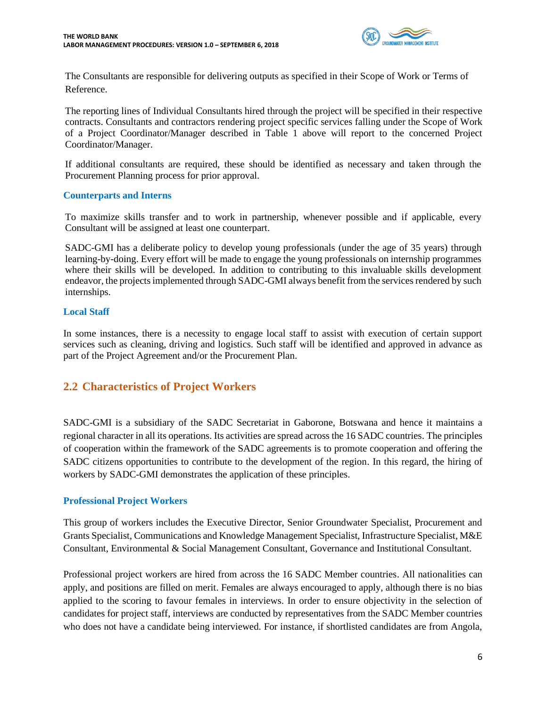

The Consultants are responsible for delivering outputs as specified in their Scope of Work or Terms of Reference.

The reporting lines of Individual Consultants hired through the project will be specified in their respective contracts. Consultants and contractors rendering project specific services falling under the Scope of Work of a Project Coordinator/Manager described in Table 1 above will report to the concerned Project Coordinator/Manager.

If additional consultants are required, these should be identified as necessary and taken through the Procurement Planning process for prior approval.

#### **Counterparts and Interns**

To maximize skills transfer and to work in partnership, whenever possible and if applicable, every Consultant will be assigned at least one counterpart.

SADC-GMI has a deliberate policy to develop young professionals (under the age of 35 years) through learning-by-doing. Every effort will be made to engage the young professionals on internship programmes where their skills will be developed. In addition to contributing to this invaluable skills development endeavor, the projects implemented through SADC-GMI always benefit from the services rendered by such internships.

#### **Local Staff**

In some instances, there is a necessity to engage local staff to assist with execution of certain support services such as cleaning, driving and logistics. Such staff will be identified and approved in advance as part of the Project Agreement and/or the Procurement Plan.

### <span id="page-5-0"></span>**2.2 Characteristics of Project Workers**

SADC-GMI is a subsidiary of the SADC Secretariat in Gaborone, Botswana and hence it maintains a regional character in all its operations. Its activities are spread across the 16 SADC countries. The principles of cooperation within the framework of the SADC agreements is to promote cooperation and offering the SADC citizens opportunities to contribute to the development of the region. In this regard, the hiring of workers by SADC-GMI demonstrates the application of these principles.

### **Professional Project Workers**

This group of workers includes the Executive Director, Senior Groundwater Specialist, Procurement and Grants Specialist, Communications and Knowledge Management Specialist, Infrastructure Specialist, M&E Consultant, Environmental & Social Management Consultant, Governance and Institutional Consultant.

Professional project workers are hired from across the 16 SADC Member countries. All nationalities can apply, and positions are filled on merit. Females are always encouraged to apply, although there is no bias applied to the scoring to favour females in interviews. In order to ensure objectivity in the selection of candidates for project staff, interviews are conducted by representatives from the SADC Member countries who does not have a candidate being interviewed. For instance, if shortlisted candidates are from Angola,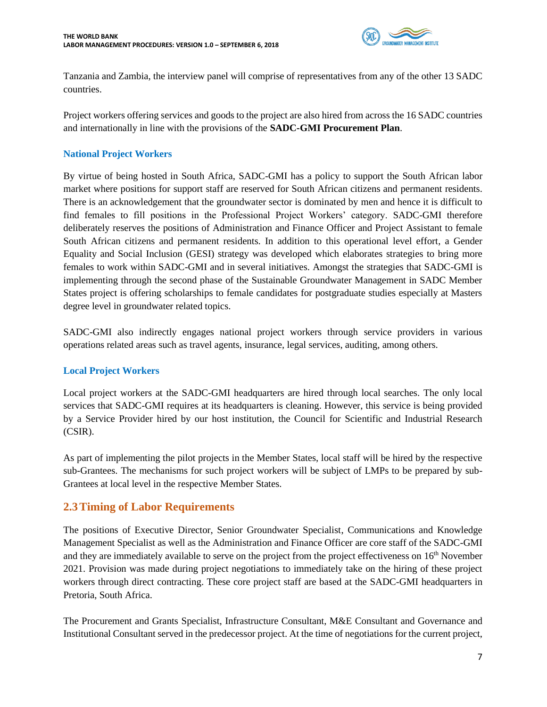

Tanzania and Zambia, the interview panel will comprise of representatives from any of the other 13 SADC countries.

Project workers offering services and goods to the project are also hired from across the 16 SADC countries and internationally in line with the provisions of the **SADC-GMI Procurement Plan**.

### **National Project Workers**

By virtue of being hosted in South Africa, SADC-GMI has a policy to support the South African labor market where positions for support staff are reserved for South African citizens and permanent residents. There is an acknowledgement that the groundwater sector is dominated by men and hence it is difficult to find females to fill positions in the Professional Project Workers' category. SADC-GMI therefore deliberately reserves the positions of Administration and Finance Officer and Project Assistant to female South African citizens and permanent residents. In addition to this operational level effort, a Gender Equality and Social Inclusion (GESI) strategy was developed which elaborates strategies to bring more females to work within SADC-GMI and in several initiatives. Amongst the strategies that SADC-GMI is implementing through the second phase of the Sustainable Groundwater Management in SADC Member States project is offering scholarships to female candidates for postgraduate studies especially at Masters degree level in groundwater related topics.

SADC-GMI also indirectly engages national project workers through service providers in various operations related areas such as travel agents, insurance, legal services, auditing, among others.

### **Local Project Workers**

Local project workers at the SADC-GMI headquarters are hired through local searches. The only local services that SADC-GMI requires at its headquarters is cleaning. However, this service is being provided by a Service Provider hired by our host institution, the Council for Scientific and Industrial Research (CSIR).

As part of implementing the pilot projects in the Member States, local staff will be hired by the respective sub-Grantees. The mechanisms for such project workers will be subject of LMPs to be prepared by sub-Grantees at local level in the respective Member States.

### <span id="page-6-0"></span>**2.3Timing of Labor Requirements**

The positions of Executive Director, Senior Groundwater Specialist, Communications and Knowledge Management Specialist as well as the Administration and Finance Officer are core staff of the SADC-GMI and they are immediately available to serve on the project from the project effectiveness on 16th November 2021. Provision was made during project negotiations to immediately take on the hiring of these project workers through direct contracting. These core project staff are based at the SADC-GMI headquarters in Pretoria, South Africa.

The Procurement and Grants Specialist, Infrastructure Consultant, M&E Consultant and Governance and Institutional Consultant served in the predecessor project. At the time of negotiations for the current project,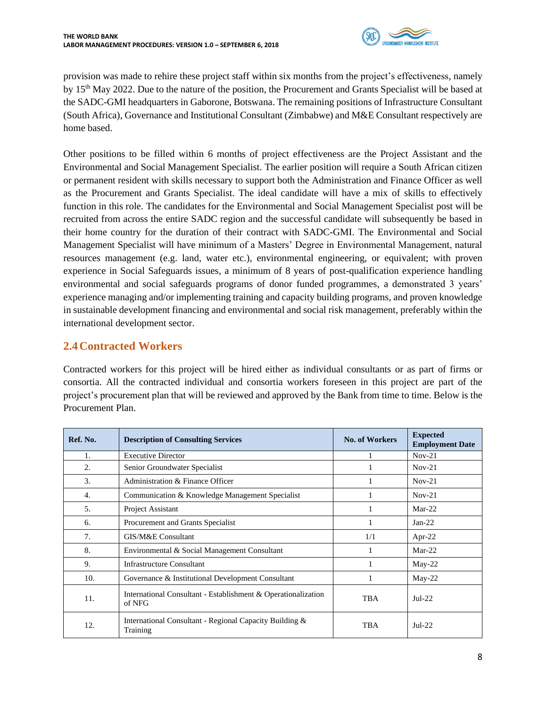

provision was made to rehire these project staff within six months from the project's effectiveness, namely by 15<sup>th</sup> May 2022. Due to the nature of the position, the Procurement and Grants Specialist will be based at the SADC-GMI headquarters in Gaborone, Botswana. The remaining positions of Infrastructure Consultant (South Africa), Governance and Institutional Consultant (Zimbabwe) and M&E Consultant respectively are home based.

Other positions to be filled within 6 months of project effectiveness are the Project Assistant and the Environmental and Social Management Specialist. The earlier position will require a South African citizen or permanent resident with skills necessary to support both the Administration and Finance Officer as well as the Procurement and Grants Specialist. The ideal candidate will have a mix of skills to effectively function in this role. The candidates for the Environmental and Social Management Specialist post will be recruited from across the entire SADC region and the successful candidate will subsequently be based in their home country for the duration of their contract with SADC-GMI. The Environmental and Social Management Specialist will have minimum of a Masters' Degree in Environmental Management, natural resources management (e.g. land, water etc.), environmental engineering, or equivalent; with proven experience in Social Safeguards issues, a minimum of 8 years of post-qualification experience handling environmental and social safeguards programs of donor funded programmes, a demonstrated 3 years' experience managing and/or implementing training and capacity building programs, and proven knowledge in sustainable development financing and environmental and social risk management, preferably within the international development sector.

## <span id="page-7-0"></span>**2.4Contracted Workers**

Contracted workers for this project will be hired either as individual consultants or as part of firms or consortia. All the contracted individual and consortia workers foreseen in this project are part of the project's procurement plan that will be reviewed and approved by the Bank from time to time. Below is the Procurement Plan.

| Ref. No. | <b>Description of Consulting Services</b>                               | <b>No. of Workers</b> | <b>Expected</b><br><b>Employment Date</b> |
|----------|-------------------------------------------------------------------------|-----------------------|-------------------------------------------|
| 1.       | <b>Executive Director</b>                                               |                       | $Nov-21$                                  |
| 2.       | Senior Groundwater Specialist                                           |                       | $Nov-21$                                  |
| 3.       | Administration & Finance Officer                                        |                       | $Nov-21$                                  |
| 4.       | Communication & Knowledge Management Specialist                         |                       | $Nov-21$                                  |
| 5.       | Project Assistant                                                       |                       | $Mar-22$                                  |
| 6.       | Procurement and Grants Specialist                                       |                       | $Jan-22$                                  |
| 7.       | GIS/M&E Consultant                                                      | 1/1                   | Apr-22                                    |
| 8.       | Environmental & Social Management Consultant                            |                       | $Mar-22$                                  |
| 9.       | <b>Infrastructure Consultant</b>                                        | 1                     | May-22                                    |
| 10.      | Governance & Institutional Development Consultant                       |                       | $May-22$                                  |
| 11.      | International Consultant - Establishment & Operationalization<br>of NFG | TBA                   | $Jul-22$                                  |
| 12.      | International Consultant - Regional Capacity Building $\&$<br>Training  | <b>TBA</b>            | $Jul-22$                                  |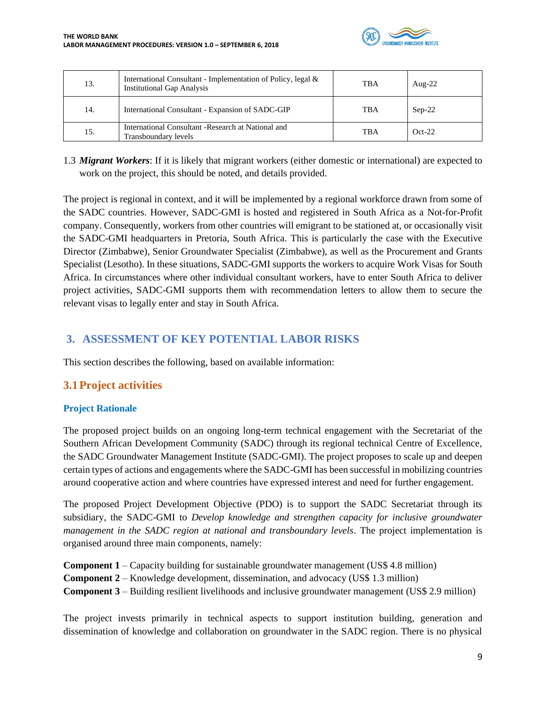

| 13. | International Consultant - Implementation of Policy, legal &<br><b>Institutional Gap Analysis</b> | <b>TBA</b> | Aug- $22$ |
|-----|---------------------------------------------------------------------------------------------------|------------|-----------|
| 14. | International Consultant - Expansion of SADC-GIP                                                  | <b>TBA</b> | $Sep-22$  |
| 15. | International Consultant -Research at National and<br>Transboundary levels                        | TBA        | $Oct-22$  |

1.3 *Migrant Workers*: If it is likely that migrant workers (either domestic or international) are expected to work on the project, this should be noted, and details provided.

The project is regional in context, and it will be implemented by a regional workforce drawn from some of the SADC countries. However, SADC-GMI is hosted and registered in South Africa as a Not-for-Profit company. Consequently, workers from other countries will emigrant to be stationed at, or occasionally visit the SADC-GMI headquarters in Pretoria, South Africa. This is particularly the case with the Executive Director (Zimbabwe), Senior Groundwater Specialist (Zimbabwe), as well as the Procurement and Grants Specialist (Lesotho). In these situations, SADC-GMI supports the workers to acquire Work Visas for South Africa. In circumstances where other individual consultant workers, have to enter South Africa to deliver project activities, SADC-GMI supports them with recommendation letters to allow them to secure the relevant visas to legally enter and stay in South Africa.

## <span id="page-8-0"></span>**3. ASSESSMENT OF KEY POTENTIAL LABOR RISKS**

This section describes the following, based on available information:

### <span id="page-8-1"></span>**3.1Project activities**

### **Project Rationale**

The proposed project builds on an ongoing long-term technical engagement with the Secretariat of the Southern African Development Community (SADC) through its regional technical Centre of Excellence, the SADC Groundwater Management Institute (SADC-GMI). The project proposes to scale up and deepen certain types of actions and engagements where the SADC-GMI has been successful in mobilizing countries around cooperative action and where countries have expressed interest and need for further engagement.

The proposed Project Development Objective (PDO) is to support the SADC Secretariat through its subsidiary, the SADC-GMI to *Develop knowledge and strengthen capacity for inclusive groundwater management in the SADC region at national and transboundary levels*. The project implementation is organised around three main components, namely:

**Component 1** – Capacity building for sustainable groundwater management (US\$ 4.8 million) **Component 2** – Knowledge development, dissemination, and advocacy (US\$ 1.3 million) **Component 3** – Building resilient livelihoods and inclusive groundwater management (US\$ 2.9 million)

The project invests primarily in technical aspects to support institution building, generation and dissemination of knowledge and collaboration on groundwater in the SADC region. There is no physical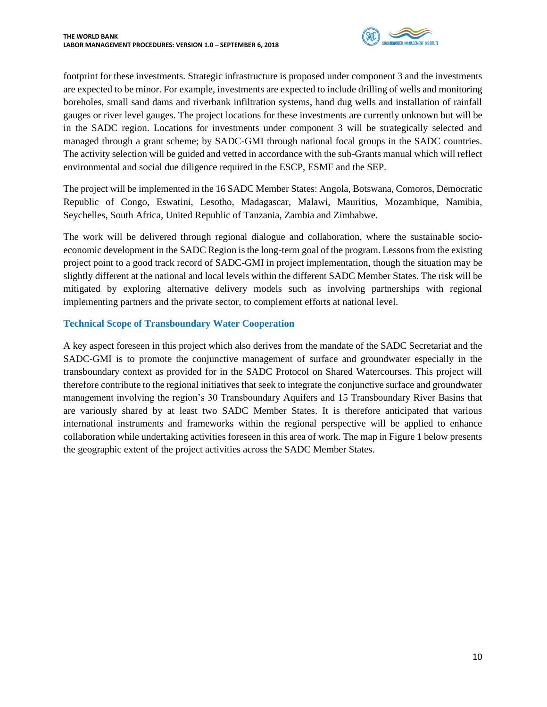

footprint for these investments. Strategic infrastructure is proposed under component 3 and the investments are expected to be minor. For example, investments are expected to include drilling of wells and monitoring boreholes, small sand dams and riverbank infiltration systems, hand dug wells and installation of rainfall gauges or river level gauges. The project locations for these investments are currently unknown but will be in the SADC region. Locations for investments under component 3 will be strategically selected and managed through a grant scheme; by SADC-GMI through national focal groups in the SADC countries. The activity selection will be guided and vetted in accordance with the sub-Grants manual which will reflect environmental and social due diligence required in the ESCP, ESMF and the SEP.

The project will be implemented in the 16 SADC Member States: Angola, Botswana, Comoros, Democratic Republic of Congo, Eswatini, Lesotho, Madagascar, Malawi, Mauritius, Mozambique, Namibia, Seychelles, South Africa, United Republic of Tanzania, Zambia and Zimbabwe.

The work will be delivered through regional dialogue and collaboration, where the sustainable socioeconomic development in the SADC Region is the long-term goal of the program. Lessons from the existing project point to a good track record of SADC-GMI in project implementation, though the situation may be slightly different at the national and local levels within the different SADC Member States. The risk will be mitigated by exploring alternative delivery models such as involving partnerships with regional implementing partners and the private sector, to complement efforts at national level.

### **Technical Scope of Transboundary Water Cooperation**

A key aspect foreseen in this project which also derives from the mandate of the SADC Secretariat and the SADC-GMI is to promote the conjunctive management of surface and groundwater especially in the transboundary context as provided for in the SADC Protocol on Shared Watercourses. This project will therefore contribute to the regional initiatives that seek to integrate the conjunctive surface and groundwater management involving the region's 30 Transboundary Aquifers and 15 Transboundary River Basins that are variously shared by at least two SADC Member States. It is therefore anticipated that various international instruments and frameworks within the regional perspective will be applied to enhance collaboration while undertaking activities foreseen in this area of work. The map in Figure 1 below presents the geographic extent of the project activities across the SADC Member States.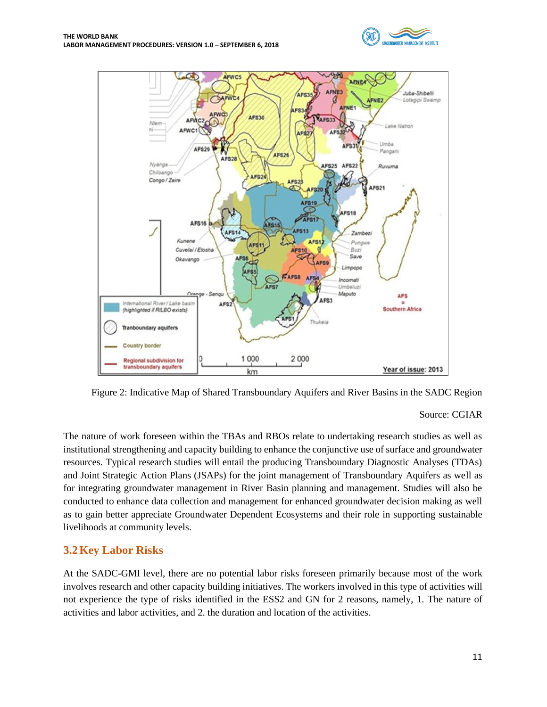



Figure 2: Indicative Map of Shared Transboundary Aquifers and River Basins in the SADC Region

#### Source: CGIAR

The nature of work foreseen within the TBAs and RBOs relate to undertaking research studies as well as institutional strengthening and capacity building to enhance the conjunctive use of surface and groundwater resources. Typical research studies will entail the producing Transboundary Diagnostic Analyses (TDAs) and Joint Strategic Action Plans (JSAPs) for the joint management of Transboundary Aquifers as well as for integrating groundwater management in River Basin planning and management. Studies will also be conducted to enhance data collection and management for enhanced groundwater decision making as well as to gain better appreciate Groundwater Dependent Ecosystems and their role in supporting sustainable livelihoods at community levels.

### <span id="page-10-0"></span>**3.2Key Labor Risks**

At the SADC-GMI level, there are no potential labor risks foreseen primarily because most of the work involves research and other capacity building initiatives. The workers involved in this type of activities will not experience the type of risks identified in the ESS2 and GN for 2 reasons, namely, 1. The nature of activities and labor activities, and 2. the duration and location of the activities.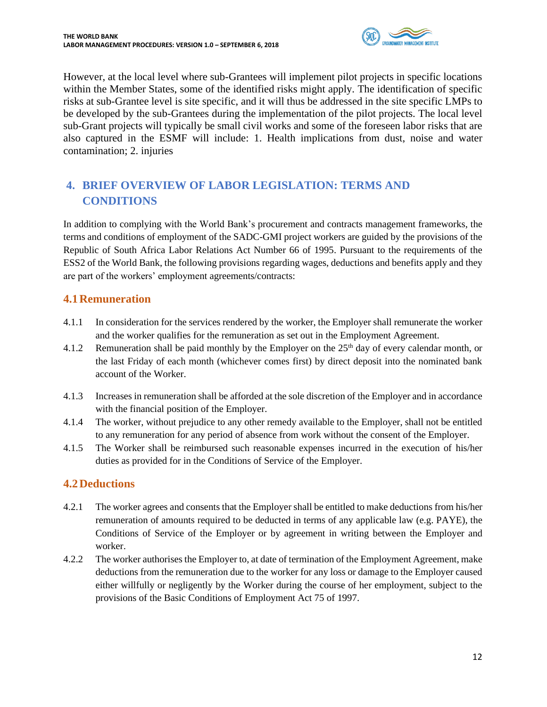

However, at the local level where sub-Grantees will implement pilot projects in specific locations within the Member States, some of the identified risks might apply. The identification of specific risks at sub-Grantee level is site specific, and it will thus be addressed in the site specific LMPs to be developed by the sub-Grantees during the implementation of the pilot projects. The local level sub-Grant projects will typically be small civil works and some of the foreseen labor risks that are also captured in the ESMF will include: 1. Health implications from dust, noise and water contamination; 2. injuries

# <span id="page-11-0"></span>**4. BRIEF OVERVIEW OF LABOR LEGISLATION: TERMS AND CONDITIONS**

In addition to complying with the World Bank's procurement and contracts management frameworks, the terms and conditions of employment of the SADC-GMI project workers are guided by the provisions of the Republic of South Africa Labor Relations Act Number 66 of 1995. Pursuant to the requirements of the ESS2 of the World Bank, the following provisions regarding wages, deductions and benefits apply and they are part of the workers' employment agreements/contracts:

### <span id="page-11-1"></span>**4.1Remuneration**

- 4.1.1 In consideration for the services rendered by the worker, the Employer shall remunerate the worker and the worker qualifies for the remuneration as set out in the Employment Agreement.
- 4.1.2 Remuneration shall be paid monthly by the Employer on the  $25<sup>th</sup>$  day of every calendar month, or the last Friday of each month (whichever comes first) by direct deposit into the nominated bank account of the Worker.
- 4.1.3 Increases in remuneration shall be afforded at the sole discretion of the Employer and in accordance with the financial position of the Employer.
- 4.1.4 The worker, without prejudice to any other remedy available to the Employer, shall not be entitled to any remuneration for any period of absence from work without the consent of the Employer.
- 4.1.5 The Worker shall be reimbursed such reasonable expenses incurred in the execution of his/her duties as provided for in the Conditions of Service of the Employer.

# <span id="page-11-2"></span>**4.2Deductions**

- 4.2.1 The worker agrees and consents that the Employer shall be entitled to make deductions from his/her remuneration of amounts required to be deducted in terms of any applicable law (e.g. PAYE), the Conditions of Service of the Employer or by agreement in writing between the Employer and worker.
- 4.2.2 The worker authorises the Employer to, at date of termination of the Employment Agreement, make deductions from the remuneration due to the worker for any loss or damage to the Employer caused either willfully or negligently by the Worker during the course of her employment, subject to the provisions of the Basic Conditions of Employment Act 75 of 1997.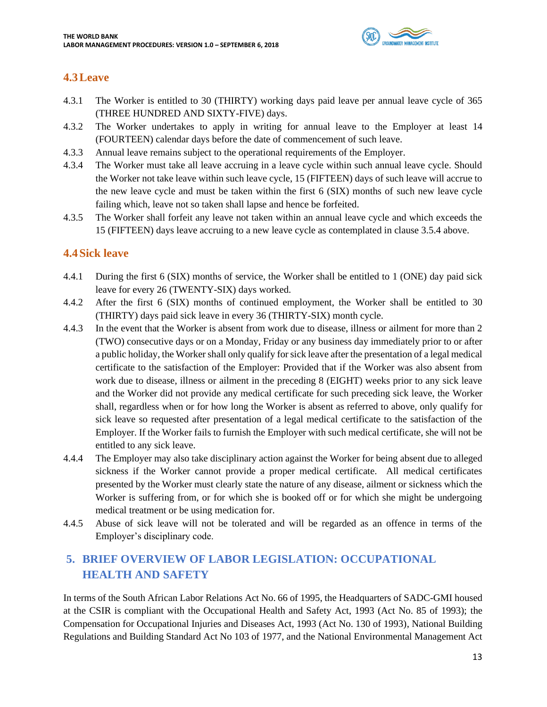

## <span id="page-12-0"></span>**4.3Leave**

- 4.3.1 The Worker is entitled to 30 (THIRTY) working days paid leave per annual leave cycle of 365 (THREE HUNDRED AND SIXTY-FIVE) days.
- 4.3.2 The Worker undertakes to apply in writing for annual leave to the Employer at least 14 (FOURTEEN) calendar days before the date of commencement of such leave.
- 4.3.3 Annual leave remains subject to the operational requirements of the Employer.
- 4.3.4 The Worker must take all leave accruing in a leave cycle within such annual leave cycle. Should the Worker not take leave within such leave cycle, 15 (FIFTEEN) days of such leave will accrue to the new leave cycle and must be taken within the first 6 (SIX) months of such new leave cycle failing which, leave not so taken shall lapse and hence be forfeited.
- 4.3.5 The Worker shall forfeit any leave not taken within an annual leave cycle and which exceeds the 15 (FIFTEEN) days leave accruing to a new leave cycle as contemplated in clause 3.5.4 above.

### <span id="page-12-1"></span>**4.4Sick leave**

- 4.4.1 During the first 6 (SIX) months of service, the Worker shall be entitled to 1 (ONE) day paid sick leave for every 26 (TWENTY-SIX) days worked.
- 4.4.2 After the first 6 (SIX) months of continued employment, the Worker shall be entitled to 30 (THIRTY) days paid sick leave in every 36 (THIRTY-SIX) month cycle.
- 4.4.3 In the event that the Worker is absent from work due to disease, illness or ailment for more than 2 (TWO) consecutive days or on a Monday, Friday or any business day immediately prior to or after a public holiday, the Workershall only qualify for sick leave after the presentation of a legal medical certificate to the satisfaction of the Employer: Provided that if the Worker was also absent from work due to disease, illness or ailment in the preceding 8 (EIGHT) weeks prior to any sick leave and the Worker did not provide any medical certificate for such preceding sick leave, the Worker shall, regardless when or for how long the Worker is absent as referred to above, only qualify for sick leave so requested after presentation of a legal medical certificate to the satisfaction of the Employer. If the Worker fails to furnish the Employer with such medical certificate, she will not be entitled to any sick leave.
- 4.4.4 The Employer may also take disciplinary action against the Worker for being absent due to alleged sickness if the Worker cannot provide a proper medical certificate. All medical certificates presented by the Worker must clearly state the nature of any disease, ailment or sickness which the Worker is suffering from, or for which she is booked off or for which she might be undergoing medical treatment or be using medication for.
- 4.4.5 Abuse of sick leave will not be tolerated and will be regarded as an offence in terms of the Employer's disciplinary code.

# <span id="page-12-2"></span>**5. BRIEF OVERVIEW OF LABOR LEGISLATION: OCCUPATIONAL HEALTH AND SAFETY**

In terms of the South African Labor Relations Act No. 66 of 1995, the Headquarters of SADC-GMI housed at the CSIR is compliant with the Occupational Health and Safety Act, 1993 (Act No. 85 of 1993); the Compensation for Occupational Injuries and Diseases Act, 1993 (Act No. 130 of 1993), National Building Regulations and Building Standard Act No 103 of 1977, and the National Environmental Management Act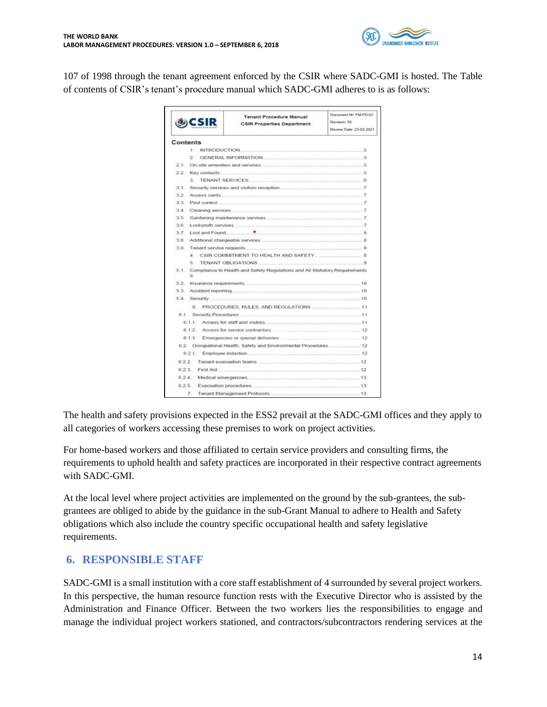

107 of 1998 through the tenant agreement enforced by the CSIR where SADC-GMI is hosted. The Table of contents of CSIR's tenant's procedure manual which SADC-GMI adheres to is as follows:

|         | CSIR     | <b>Tenant Procedure Manual</b><br><b>CSIR Properties Department</b>                                                                                                                                                           | Document Nr: FM-PD-01<br>Revision: 05<br>Review Date: 23-02-2021 |
|---------|----------|-------------------------------------------------------------------------------------------------------------------------------------------------------------------------------------------------------------------------------|------------------------------------------------------------------|
|         | Contents |                                                                                                                                                                                                                               |                                                                  |
|         |          | <b>T INTRODUCTION <i>SALE COMPANY CONTINUES</i></b>                                                                                                                                                                           |                                                                  |
|         |          | 2 GENERAL INFORMATION 5                                                                                                                                                                                                       |                                                                  |
|         |          |                                                                                                                                                                                                                               |                                                                  |
|         |          | 2.2. Key contacts 5.5 and 5.5 and 5.5 and 5.5 and 5.5 and 5.5 and 5.5 and 5.5 and 5.5 and 5.5 and 5.5 and 5.5 and 5.5 and 5.5 and 5.5 and 5.5 and 5.5 and 5.5 and 5.5 and 5.5 and 5.5 and 5.5 and 5.5 and 5.5 and 5.5 and 5.5 |                                                                  |
|         |          | 3 TENANT SERVICES 6                                                                                                                                                                                                           |                                                                  |
| 3.1     |          |                                                                                                                                                                                                                               |                                                                  |
|         |          |                                                                                                                                                                                                                               |                                                                  |
| 3.3     |          |                                                                                                                                                                                                                               |                                                                  |
| 34      |          |                                                                                                                                                                                                                               |                                                                  |
| 3.5.    |          |                                                                                                                                                                                                                               |                                                                  |
| 36.     |          |                                                                                                                                                                                                                               |                                                                  |
| $37 -$  |          |                                                                                                                                                                                                                               |                                                                  |
| $3.8 -$ |          |                                                                                                                                                                                                                               |                                                                  |
|         |          |                                                                                                                                                                                                                               |                                                                  |
|         |          |                                                                                                                                                                                                                               |                                                                  |
|         |          |                                                                                                                                                                                                                               |                                                                  |
|         | ġ.       | 5.1. Compliance to Health and Safety Regulations and All Statutory Requirements.                                                                                                                                              |                                                                  |
|         |          |                                                                                                                                                                                                                               |                                                                  |
|         |          |                                                                                                                                                                                                                               |                                                                  |
|         |          |                                                                                                                                                                                                                               |                                                                  |
|         |          |                                                                                                                                                                                                                               |                                                                  |
|         |          |                                                                                                                                                                                                                               |                                                                  |
|         |          |                                                                                                                                                                                                                               |                                                                  |
|         |          | 6.1.2 Access for service contractors 12                                                                                                                                                                                       |                                                                  |
|         |          | 6.1.3 Emergencies or special deliveries 12                                                                                                                                                                                    |                                                                  |
|         |          | 6.2. Occupational Health, Safety and Environmental Procedures 12                                                                                                                                                              |                                                                  |
|         |          |                                                                                                                                                                                                                               |                                                                  |
|         |          |                                                                                                                                                                                                                               |                                                                  |
|         |          | 6.2.3. First Aid 12                                                                                                                                                                                                           |                                                                  |
|         |          |                                                                                                                                                                                                                               |                                                                  |
|         |          |                                                                                                                                                                                                                               |                                                                  |
|         | 7.       |                                                                                                                                                                                                                               |                                                                  |

The health and safety provisions expected in the ESS2 prevail at the SADC-GMI offices and they apply to all categories of workers accessing these premises to work on project activities.

For home-based workers and those affiliated to certain service providers and consulting firms, the requirements to uphold health and safety practices are incorporated in their respective contract agreements with SADC-GMI.

At the local level where project activities are implemented on the ground by the sub-grantees, the subgrantees are obliged to abide by the guidance in the sub-Grant Manual to adhere to Health and Safety obligations which also include the country specific occupational health and safety legislative requirements.

### <span id="page-13-0"></span>**6. RESPONSIBLE STAFF**

SADC-GMI is a small institution with a core staff establishment of 4 surrounded by several project workers. In this perspective, the human resource function rests with the Executive Director who is assisted by the Administration and Finance Officer. Between the two workers lies the responsibilities to engage and manage the individual project workers stationed, and contractors/subcontractors rendering services at the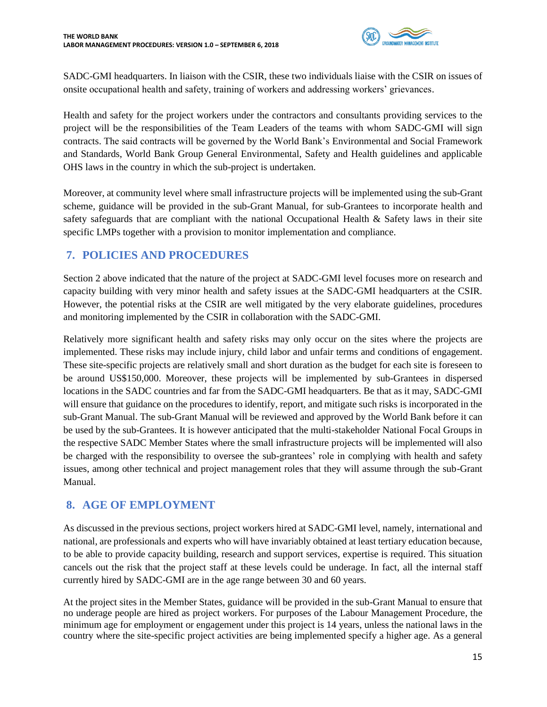

SADC-GMI headquarters. In liaison with the CSIR, these two individuals liaise with the CSIR on issues of onsite occupational health and safety, training of workers and addressing workers' grievances.

Health and safety for the project workers under the contractors and consultants providing services to the project will be the responsibilities of the Team Leaders of the teams with whom SADC-GMI will sign contracts. The said contracts will be governed by the World Bank's Environmental and Social Framework and Standards, World Bank Group General Environmental, Safety and Health guidelines and applicable OHS laws in the country in which the sub-project is undertaken.

Moreover, at community level where small infrastructure projects will be implemented using the sub-Grant scheme, guidance will be provided in the sub-Grant Manual, for sub-Grantees to incorporate health and safety safeguards that are compliant with the national Occupational Health & Safety laws in their site specific LMPs together with a provision to monitor implementation and compliance.

### <span id="page-14-0"></span>**7. POLICIES AND PROCEDURES**

Section 2 above indicated that the nature of the project at SADC-GMI level focuses more on research and capacity building with very minor health and safety issues at the SADC-GMI headquarters at the CSIR. However, the potential risks at the CSIR are well mitigated by the very elaborate guidelines, procedures and monitoring implemented by the CSIR in collaboration with the SADC-GMI.

Relatively more significant health and safety risks may only occur on the sites where the projects are implemented. These risks may include injury, child labor and unfair terms and conditions of engagement. These site-specific projects are relatively small and short duration as the budget for each site is foreseen to be around US\$150,000. Moreover, these projects will be implemented by sub-Grantees in dispersed locations in the SADC countries and far from the SADC-GMI headquarters. Be that as it may, SADC-GMI will ensure that guidance on the procedures to identify, report, and mitigate such risks is incorporated in the sub-Grant Manual. The sub-Grant Manual will be reviewed and approved by the World Bank before it can be used by the sub-Grantees. It is however anticipated that the multi-stakeholder National Focal Groups in the respective SADC Member States where the small infrastructure projects will be implemented will also be charged with the responsibility to oversee the sub-grantees' role in complying with health and safety issues, among other technical and project management roles that they will assume through the sub-Grant Manual.

### <span id="page-14-1"></span>**8. AGE OF EMPLOYMENT**

As discussed in the previous sections, project workers hired at SADC-GMI level, namely, international and national, are professionals and experts who will have invariably obtained at least tertiary education because, to be able to provide capacity building, research and support services, expertise is required. This situation cancels out the risk that the project staff at these levels could be underage. In fact, all the internal staff currently hired by SADC-GMI are in the age range between 30 and 60 years.

At the project sites in the Member States, guidance will be provided in the sub-Grant Manual to ensure that no underage people are hired as project workers. For purposes of the Labour Management Procedure, the minimum age for employment or engagement under this project is 14 years, unless the national laws in the country where the site-specific project activities are being implemented specify a higher age. As a general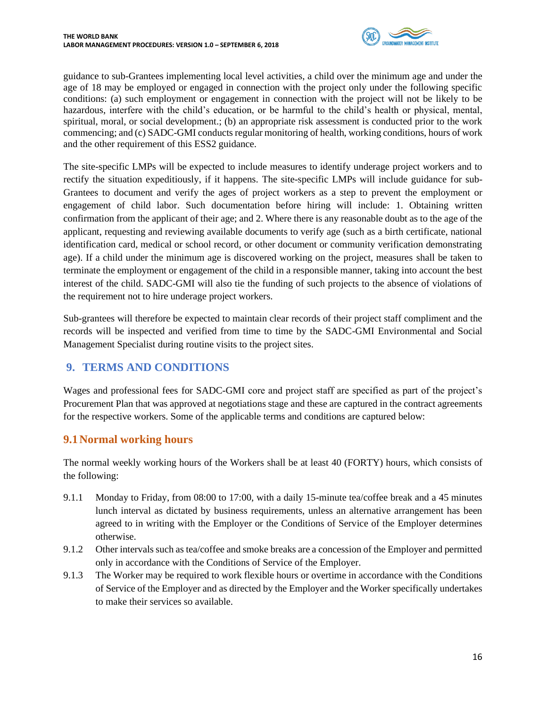

guidance to sub-Grantees implementing local level activities, a child over the minimum age and under the age of 18 may be employed or engaged in connection with the project only under the following specific conditions: (a) such employment or engagement in connection with the project will not be likely to be hazardous, interfere with the child's education, or be harmful to the child's health or physical, mental, spiritual, moral, or social development.; (b) an appropriate risk assessment is conducted prior to the work commencing; and (c) SADC-GMI conducts regular monitoring of health, working conditions, hours of work and the other requirement of this ESS2 guidance.

The site-specific LMPs will be expected to include measures to identify underage project workers and to rectify the situation expeditiously, if it happens. The site-specific LMPs will include guidance for sub-Grantees to document and verify the ages of project workers as a step to prevent the employment or engagement of child labor. Such documentation before hiring will include: 1. Obtaining written confirmation from the applicant of their age; and 2. Where there is any reasonable doubt as to the age of the applicant, requesting and reviewing available documents to verify age (such as a birth certificate, national identification card, medical or school record, or other document or community verification demonstrating age). If a child under the minimum age is discovered working on the project, measures shall be taken to terminate the employment or engagement of the child in a responsible manner, taking into account the best interest of the child. SADC-GMI will also tie the funding of such projects to the absence of violations of the requirement not to hire underage project workers.

Sub-grantees will therefore be expected to maintain clear records of their project staff compliment and the records will be inspected and verified from time to time by the SADC-GMI Environmental and Social Management Specialist during routine visits to the project sites.

### <span id="page-15-0"></span>**9. TERMS AND CONDITIONS**

Wages and professional fees for SADC-GMI core and project staff are specified as part of the project's Procurement Plan that was approved at negotiations stage and these are captured in the contract agreements for the respective workers. Some of the applicable terms and conditions are captured below:

### <span id="page-15-1"></span>**9.1Normal working hours**

The normal weekly working hours of the Workers shall be at least 40 (FORTY) hours, which consists of the following:

- 9.1.1 Monday to Friday, from 08:00 to 17:00, with a daily 15-minute tea/coffee break and a 45 minutes lunch interval as dictated by business requirements, unless an alternative arrangement has been agreed to in writing with the Employer or the Conditions of Service of the Employer determines otherwise.
- 9.1.2 Other intervals such as tea/coffee and smoke breaks are a concession of the Employer and permitted only in accordance with the Conditions of Service of the Employer.
- 9.1.3 The Worker may be required to work flexible hours or overtime in accordance with the Conditions of Service of the Employer and as directed by the Employer and the Worker specifically undertakes to make their services so available.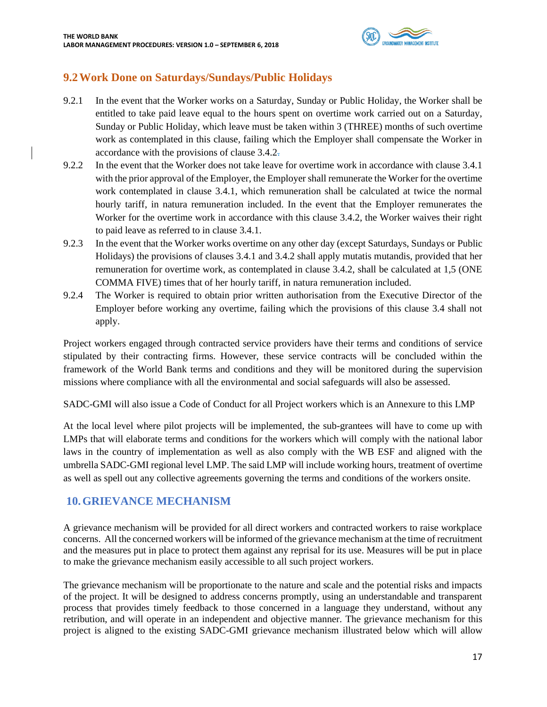

# <span id="page-16-0"></span>**9.2Work Done on Saturdays/Sundays/Public Holidays**

- 9.2.1 In the event that the Worker works on a Saturday, Sunday or Public Holiday, the Worker shall be entitled to take paid leave equal to the hours spent on overtime work carried out on a Saturday, Sunday or Public Holiday, which leave must be taken within 3 (THREE) months of such overtime work as contemplated in this clause, failing which the Employer shall compensate the Worker in accordance with the provisions of clause 3.4.2.
- 9.2.2 In the event that the Worker does not take leave for overtime work in accordance with clause 3.4.1 with the prior approval of the Employer, the Employer shall remunerate the Worker for the overtime work contemplated in clause 3.4.1, which remuneration shall be calculated at twice the normal hourly tariff, in natura remuneration included. In the event that the Employer remunerates the Worker for the overtime work in accordance with this clause 3.4.2, the Worker waives their right to paid leave as referred to in clause 3.4.1.
- 9.2.3 In the event that the Worker works overtime on any other day (except Saturdays, Sundays or Public Holidays) the provisions of clauses 3.4.1 and 3.4.2 shall apply mutatis mutandis, provided that her remuneration for overtime work, as contemplated in clause 3.4.2, shall be calculated at 1,5 (ONE COMMA FIVE) times that of her hourly tariff, in natura remuneration included.
- 9.2.4 The Worker is required to obtain prior written authorisation from the Executive Director of the Employer before working any overtime, failing which the provisions of this clause 3.4 shall not apply.

Project workers engaged through contracted service providers have their terms and conditions of service stipulated by their contracting firms. However, these service contracts will be concluded within the framework of the World Bank terms and conditions and they will be monitored during the supervision missions where compliance with all the environmental and social safeguards will also be assessed.

SADC-GMI will also issue a Code of Conduct for all Project workers which is an Annexure to this LMP

At the local level where pilot projects will be implemented, the sub-grantees will have to come up with LMPs that will elaborate terms and conditions for the workers which will comply with the national labor laws in the country of implementation as well as also comply with the WB ESF and aligned with the umbrella SADC-GMI regional level LMP. The said LMP will include working hours, treatment of overtime as well as spell out any collective agreements governing the terms and conditions of the workers onsite.

### <span id="page-16-1"></span>**10.GRIEVANCE MECHANISM**

A grievance mechanism will be provided for all direct workers and contracted workers to raise workplace concerns. All the concerned workers will be informed of the grievance mechanism at the time of recruitment and the measures put in place to protect them against any reprisal for its use. Measures will be put in place to make the grievance mechanism easily accessible to all such project workers.

The grievance mechanism will be proportionate to the nature and scale and the potential risks and impacts of the project. It will be designed to address concerns promptly, using an understandable and transparent process that provides timely feedback to those concerned in a language they understand, without any retribution, and will operate in an independent and objective manner. The grievance mechanism for this project is aligned to the existing SADC-GMI grievance mechanism illustrated below which will allow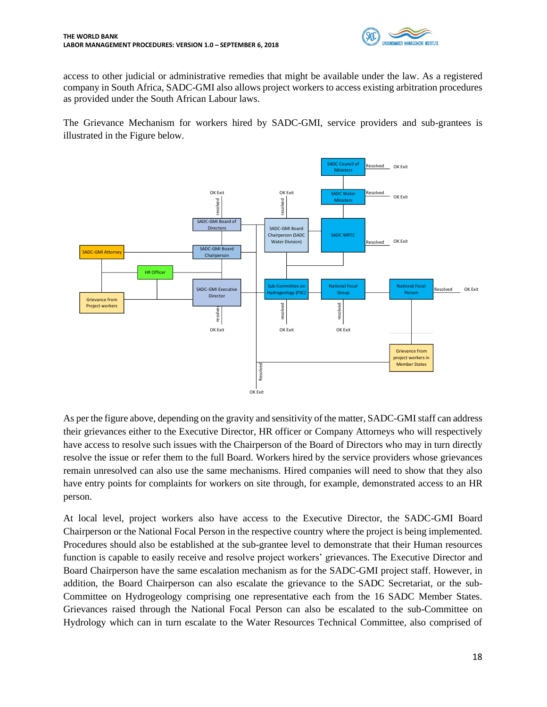

access to other judicial or administrative remedies that might be available under the law. As a registered company in South Africa, SADC-GMI also allows project workers to access existing arbitration procedures as provided under the South African Labour laws.

The Grievance Mechanism for workers hired by SADC-GMI, service providers and sub-grantees is illustrated in the Figure below.



As per the figure above, depending on the gravity and sensitivity of the matter, SADC-GMI staff can address their grievances either to the Executive Director, HR officer or Company Attorneys who will respectively have access to resolve such issues with the Chairperson of the Board of Directors who may in turn directly resolve the issue or refer them to the full Board. Workers hired by the service providers whose grievances remain unresolved can also use the same mechanisms. Hired companies will need to show that they also have entry points for complaints for workers on site through, for example, demonstrated access to an HR person.

At local level, project workers also have access to the Executive Director, the SADC-GMI Board Chairperson or the National Focal Person in the respective country where the project is being implemented. Procedures should also be established at the sub-grantee level to demonstrate that their Human resources function is capable to easily receive and resolve project workers' grievances. The Executive Director and Board Chairperson have the same escalation mechanism as for the SADC-GMI project staff. However, in addition, the Board Chairperson can also escalate the grievance to the SADC Secretariat, or the sub-Committee on Hydrogeology comprising one representative each from the 16 SADC Member States. Grievances raised through the National Focal Person can also be escalated to the sub-Committee on Hydrology which can in turn escalate to the Water Resources Technical Committee, also comprised of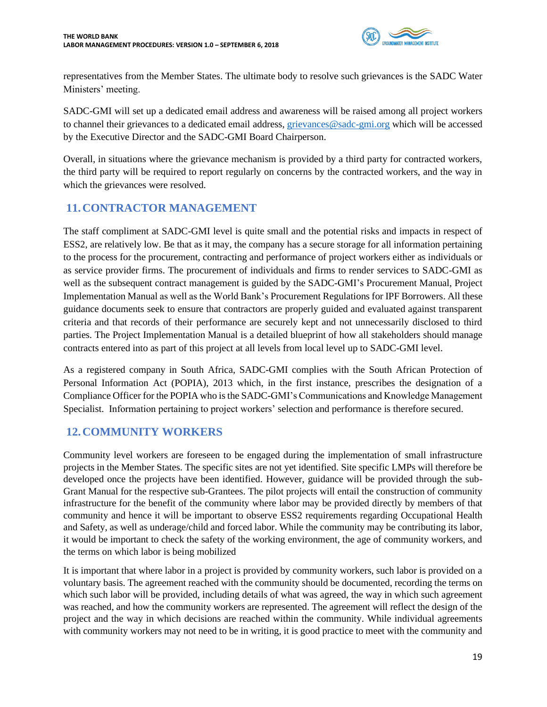

representatives from the Member States. The ultimate body to resolve such grievances is the SADC Water Ministers' meeting.

SADC-GMI will set up a dedicated email address and awareness will be raised among all project workers to channel their grievances to a dedicated email address, [grievances@sadc-gmi.org](mailto:grievances@sadc-gmi.org) which will be accessed by the Executive Director and the SADC-GMI Board Chairperson.

Overall, in situations where the grievance mechanism is provided by a third party for contracted workers, the third party will be required to report regularly on concerns by the contracted workers, and the way in which the grievances were resolved.

# <span id="page-18-0"></span>**11.CONTRACTOR MANAGEMENT**

The staff compliment at SADC-GMI level is quite small and the potential risks and impacts in respect of ESS2, are relatively low. Be that as it may, the company has a secure storage for all information pertaining to the process for the procurement, contracting and performance of project workers either as individuals or as service provider firms. The procurement of individuals and firms to render services to SADC-GMI as well as the subsequent contract management is guided by the SADC-GMI's Procurement Manual, Project Implementation Manual as well as the World Bank's Procurement Regulations for IPF Borrowers. All these guidance documents seek to ensure that contractors are properly guided and evaluated against transparent criteria and that records of their performance are securely kept and not unnecessarily disclosed to third parties. The Project Implementation Manual is a detailed blueprint of how all stakeholders should manage contracts entered into as part of this project at all levels from local level up to SADC-GMI level.

As a registered company in South Africa, SADC-GMI complies with the South African Protection of Personal Information Act (POPIA), 2013 which, in the first instance, prescribes the designation of a Compliance Officer for the POPIA who is the SADC-GMI's Communications and Knowledge Management Specialist. Information pertaining to project workers' selection and performance is therefore secured.

### <span id="page-18-1"></span>**12.COMMUNITY WORKERS**

Community level workers are foreseen to be engaged during the implementation of small infrastructure projects in the Member States. The specific sites are not yet identified. Site specific LMPs will therefore be developed once the projects have been identified. However, guidance will be provided through the sub-Grant Manual for the respective sub-Grantees. The pilot projects will entail the construction of community infrastructure for the benefit of the community where labor may be provided directly by members of that community and hence it will be important to observe ESS2 requirements regarding Occupational Health and Safety, as well as underage/child and forced labor. While the community may be contributing its labor, it would be important to check the safety of the working environment, the age of community workers, and the terms on which labor is being mobilized

It is important that where labor in a project is provided by community workers, such labor is provided on a voluntary basis. The agreement reached with the community should be documented, recording the terms on which such labor will be provided, including details of what was agreed, the way in which such agreement was reached, and how the community workers are represented. The agreement will reflect the design of the project and the way in which decisions are reached within the community. While individual agreements with community workers may not need to be in writing, it is good practice to meet with the community and